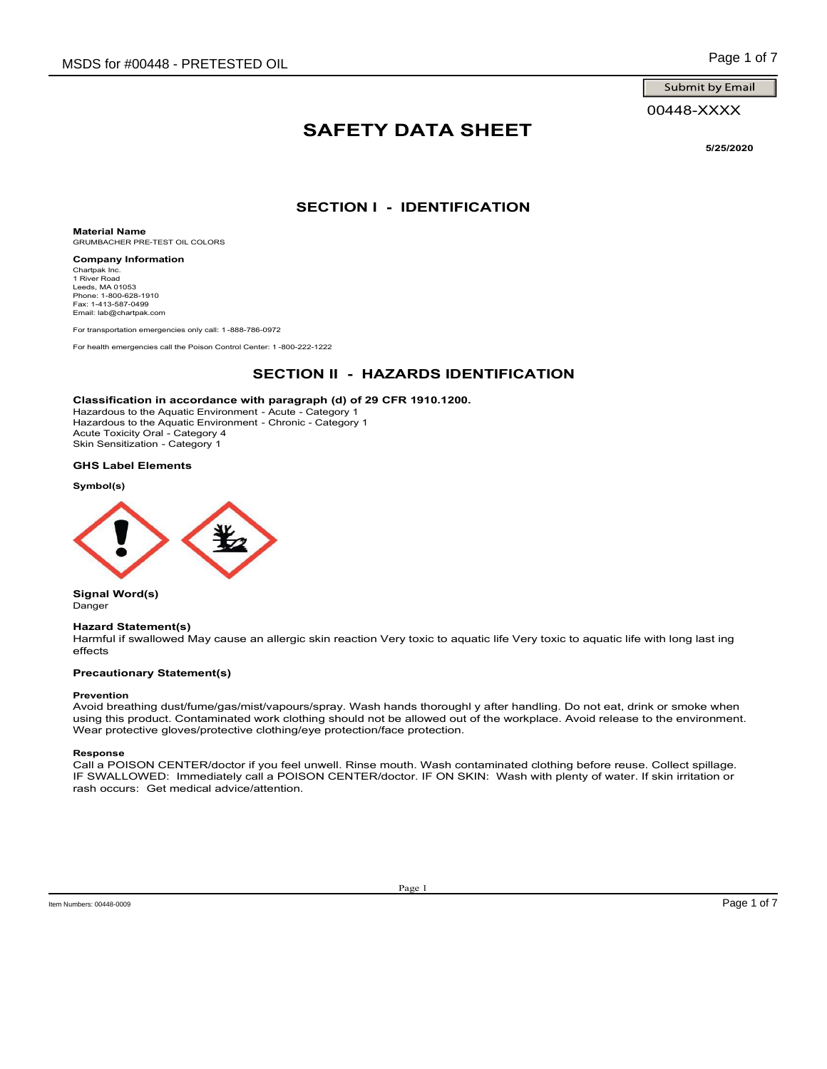00448-XXXX

## SAFETY DATA SHEET Page 1 of 7<br>
Submit by Email<br>
00448-XXXX<br>
SECTION I - IDENTIFICATION<br>
SECTION I - IDENTIFICATION

5/25/2020

Material Name GRUMBACHER PRE-TEST OIL COLORS

Company Information Chartpak Inc.<br>1 River Road Leeds, MA 01053<br>Phone: 1-800-628-1910 Fax: 1-413-587-0499 Email: lab@chartpak.com For the deterministic and the property of the deterministic and the deterministic and the deterministic and the deterministic and the deterministic and the property of the deterministic and the property of the deterministi

Classification in accordance with paragraph (d) of 29 CFR 1910.1200.

For  $\#0.0448$  - PRETESTED OIL<br>
SAFETY DATA SHEET<br>
SUBMITERET<br>
SECTION I - IDENTIFICATION<br>
Material theme.<br>
SECTION I - IDENTIFICATION<br>
Company information<br>
Company information<br>
Control Center: 1 -800-222-122<br>
For the Mont Page 1 of 7<br>
Submit by Email<br>
SAFETY DATA SHEET<br>
SECTION I - IDENTIFICATION<br>
SECTION I - IDENTIFICATION<br>
SECTION II - HAZARDS IDENTIFICATION<br>
th paragraph (d) of 29 GFR 1910.1200.<br>
Chick Cadegoy<sub>1</sub> SDS for #00448 - PRETESTED OIL<br>
Submit by Email<br>
Material Name<br>
Material Name<br>
Material Name<br>
Material Name<br>
Material Name<br>
Company information<br>
Company information<br>
Company information<br>
Company information<br>
Category 1<br>
Cr Material Name<br>
Material Name<br>
Material Name<br>
Material Name<br>
Material Name<br>
Material Name<br>
SECTION I - IDENTIFICATION<br>
Company information<br>
Company information<br>
Company information<br>
Company information<br>
Material Name<br>
Mater SAFETY DATA SHEET<br>
Material Name<br>
CRIMINATE:<br>
CRIMINATE:<br>
CATEGORY IS CONSIDERATE TOUR COLORES<br>
CATEGORY IS CONSIDER TO THE CATEGORY<br>
LEVEL IN A CONSIDER TO THE CATEGORY<br>
CRIMINATE IN A CATEGORY IS CONSIDER TO THE CATEGORY SAFETY DATA SHEET<br>
SECTION I - IDENTIFICATION<br>
SECTION I - IDENTIFICATION<br>
SECTION - IDENTIFICATION<br>
CREATION CONSISTENCY<br>
CREATION CONSISTS<br>
CREATION CONSISTS<br>
CREATION CONSISTS<br>
FOR THE ALSO ZORD<br>
FOR INSTANCED CONSISTS<br>

### GHS Label Elements

Symbol(s)



Signal Word(s) Danger

Hazard Statement(s)<br>Harmful if swallowed May cause an allergic skin reaction Very toxic to aquatic life Very toxic to aquatic life with long last ing effects

### Precautionary Statement(s)

### Prevention

Avoid breathing dust/fume/gas/mist/vapours/spray. Wash hands thoroughl y after handling. Do not eat, drink or smoke when<br>using this product. Contaminated work clothing should not be allowed out of the workplace. Avoid rele Wear protective gloves/protective clothing/eye protection/face protection.

### Response

v toxic to aquatic life Very toxic to aquatic life with long last ing<br>
ands thoroughl v after handling. Do not eat, drink or smoke when<br>
a allowed out of the workplace. Avoid release to the environment.<br>
uth. Wash contamin SECTION II - HAZARDS IDENTIFICATION<br>
Missions of the Association of the Association of the Association of the Association of the Association of the Association of the Association of the Association of the Association of th Call a POISON CENTER/doctor if you feel unwell. Rinse mouth. Wash contaminated clothing before reuse. Collect spillage. IF SWALLOWED: Immediately call a POISON CENTER/doctor. IF ON SKIN: Wash with plenty of water. If skin irritation or<br>rash occurs: Get medical advice/attention.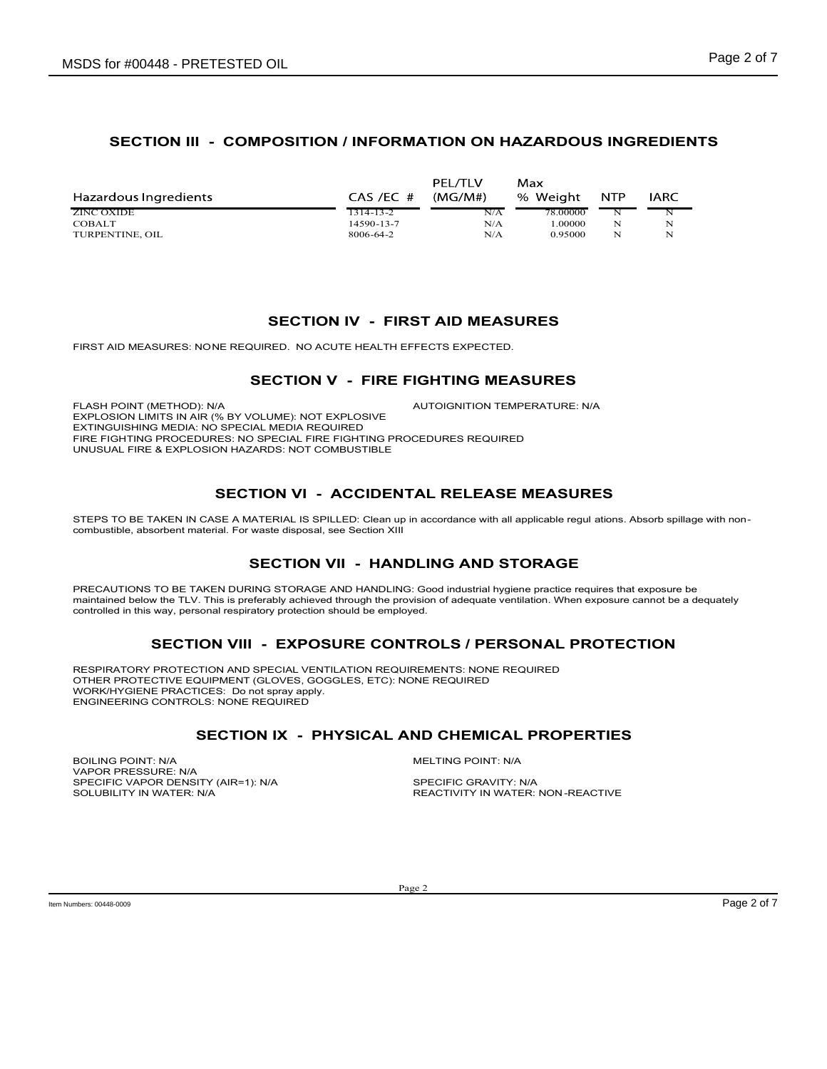|                                                                                                                                                                                                              |                                                 |                               |                                |                          |             | Page 2 of 7 |
|--------------------------------------------------------------------------------------------------------------------------------------------------------------------------------------------------------------|-------------------------------------------------|-------------------------------|--------------------------------|--------------------------|-------------|-------------|
| ISDS for #00448 - PRETESTED OIL                                                                                                                                                                              |                                                 |                               |                                |                          |             |             |
| Hazardous Ingredients                                                                                                                                                                                        | CAS /EC #                                       | PEL/TLV<br>(MG/M#)            | Max<br>% Weight                | <b>NTP</b>               | <b>IARC</b> |             |
| <b>ZINC OXIDE</b><br><b>COBALT</b><br>TURPENTINE, OIL                                                                                                                                                        | 1314-13-2<br>14590-13-7<br>8006-64-2            | N/A<br>N/A<br>N/A             | 78.00000<br>1.00000<br>0.95000 | $\overline{N}$<br>N<br>N | N<br>N<br>N |             |
|                                                                                                                                                                                                              |                                                 |                               |                                |                          |             |             |
|                                                                                                                                                                                                              | <b>SECTION IV - FIRST AID MEASURES</b>          |                               |                                |                          |             |             |
| FIRST AID MEASURES: NONE REQUIRED. NO ACUTE HEALTH EFFECTS EXPECTED.                                                                                                                                         |                                                 |                               |                                |                          |             |             |
| FLASH POINT (METHOD): N/A<br>EXPLOSION LIMITS IN AIR (% BY VOLUME): NOT EXPLOSIVE                                                                                                                            | <b>SECTION V - FIRE FIGHTING MEASURES</b>       | AUTOIGNITION TEMPERATURE: N/A |                                |                          |             |             |
| EXTINGUISHING MEDIA: NO SPECIAL MEDIA REQUIRED<br>FIRE FIGHTING PROCEDURES: NO SPECIAL FIRE FIGHTING PROCEDURES REQUIRED<br>UNUSUAL FIRE & EXPLOSION HAZARDS: NOT COMBUSTIBLE                                |                                                 |                               |                                |                          |             |             |
|                                                                                                                                                                                                              | <b>SECTION VI - ACCIDENTAL RELEASE MEASURES</b> |                               |                                |                          |             |             |
|                                                                                                                                                                                                              |                                                 |                               |                                |                          |             |             |
| STEPS TO BE TAKEN IN CASE A MATERIAL IS SPILLED: Clean up in accordance with all applicable regul ations. Absorb spillage with non-<br>combustible, absorbent material. For waste disposal, see Section XIII |                                                 |                               |                                |                          |             |             |
|                                                                                                                                                                                                              | <b>SECTION VII - HANDLING AND STORAGE</b>       |                               |                                |                          |             |             |

EXPLOSION LIMITS IN AIR (% BY VOLUME): NOT EXPLOSIVE EXTINGUISHING MEDIA: NO SPECIAL MEDIA REQUIRED FIRE FIGHTING PROCEDURES: NO SPECIAL FIRE FIGHTING PROCEDURES REQUIRED UNUSUAL FIRE & EXPLOSION HAZARDS: NOT COMBUSTIBLE SECTION IV - FIRST AID MEASURES<br>
THASH FONT METHOD, NA<br>
SECTION V - FIRE FIGHTING MEASURES<br>
ENTROIDING INTO THE PROTECURE NOTICE INTO THE PROTECURE CANNOT TEMPERATURE. INN<br>
DETENSION METHOD, NA<br>
DETENTING PROCEDURES NO DEP SECTION IV - FIRST AID MEASURES<br>
SURES. NONE REQUIRED. NO ACUTE HEALTH EFFECTS EXPECTED.<br>
SECTION V - FIRE FIGHTING MEASURES<br>
METHOD: NA WAS WAS UNCOLUMED NOT EXPLOSIVE AUTOIGNITION TEMPERATURE. NA<br>
INTO SURCE NO SPECIAL A SECTION IN - FIRE TORING MEASURE NAMES IN A SUIT AND AN ALTERNATIVE IN A REACT AND A REACT ON THE CHEMICAL PROPERTIES<br>
SECTION IV - ACCIDENTAL RELEASE MEASURES<br>
SECTION IV - ACCIDENTAL RELEASE MEASURES<br>
SECTION IV - ACCIDE EXTRONOUTHE NATION TO BE THE SUPER CHARGE THE CONTROL SUPER THE SUPER THE SUPER THE SUPER THE SUPER THE SUPER THE SUPER THE SUPER THE SUPER THE SUPER THE SUPER THE SUPER THE SUPER THE SUPER THE SUPER THE SUPER THE SUPER TH

VG. Good industrial hygiene practice requires that exposure be<br>NG: Good industrial hygiene practice requires that exposure be<br>rovision of adequate veriliation. When exposure cannot be a dequately<br>played.<br>NTROLS / PERSONAL THEIRST AID MEASURES<br>
SECTION IV - FIRST AID MEASURES<br>
SECTION IV - FIRST AID MEASURES<br>
SECTION V - FIRST AID MEASURES<br>
SECTION V - FIRE FIGHTING MEASURES<br>
SECTION V - FIRE FIGHTING MEASURES<br>
NATURE: NATIONAL FIGHTING PRO PRECAUTIONS TO BE TAKEN DURING STORAGE AND HANDLING: Good industrial hygiene practice requires that exposure be<br>maintained below the TLV. This is preferably achieved through the provision of adequate ventilation. When expo controlled in this way, personal respiratory protection should be employed.

RESPIRATORY PROTECTION AND SPECIAL VENTILATION REQUIREMENTS: NONE REQUIRED OTHER PROTECTIVE EQUIPMENT (GLOVES, GOGGLES, ETC): NONE REQUIRED WORK/HYGIENE PRACTICES: Do not spray apply. ENGINEERING CONTROLS: NONE REQUIRED ERE FOURTRAIT DRESS ROBBERT DE TRES EN COLORES REQUIRES<br>
SPECIFIC VARIABLE DE SECURITY (AIRENAL IS SPILLED CRAIN INTO ACCEDENT AND STORAGE<br>
STEPS TO BE TAKEN IN CASE A MATERIAL IS SPILLED CRAINING MORE CONTINUES ON THE SEC SOLUTION TO ETHING AND STEP AND STEP AND STEP AND STEP AND STEP AND STEP AND STEP AND STEP AND STEP AND STEP AND STEP AND STEP AND STEP AND STEP AND STEP AND STEP AND STEP AND STEP AND STEP AND STEP AND STEP AND STEP AND S

VAPOR PRESSURE: N/A<br>SPECIFIC VAPOR DENSITY (AIR=1): N/A SPECIFIC GRAVITY: N/A

 $\log 2$  of  $7$   $\log$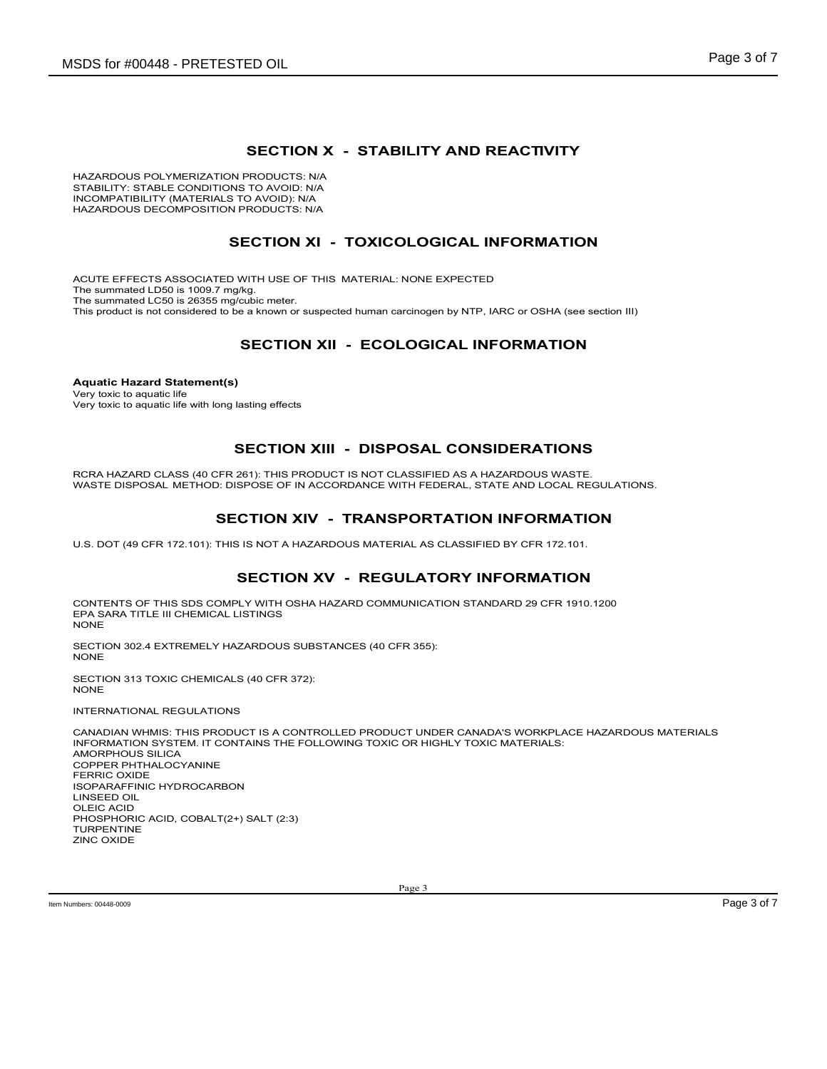# ED OIL<br>
SECTION X - STABILITY AND REACTIVITY<br>
PRODUCTS: N/A<br>
TO AVOID: N/A<br>
JO AVOID: N/A<br>
RODUCTS: N/A<br>
RODUCTS: N/A

HAZARDOUS POLYMERIZATION PRODUCTS: N/A STABILITY: STABLE CONDITIONS TO AVOID: N/A INCOMPATIBILITY (MATERIALS TO AVOID): N/A HAZARDOUS DECOMPOSITION PRODUCTS: N/A

STED OIL<br>
SECTION X - STABILITY AND REACTIVITY<br>
IN PRODUCTS: NA<br>
INSTO AVOID: NA<br>
INSTO AVOID: NA<br>
SECTION XI - TOXICOLOGICAL INFORMATION<br>
SECTION XI - TOXICOLOGICAL INFORMATION<br>
SWITH USE OF THIS MATERIAL: NONE EXPECTED<br> SDS for #00448 - PRETESTED OIL<br>
ACARDOUS POLYMERIZATION PRODUCTS: NA<br>
MCAZARDOUS POLYMERIZATION PRODUCTS: NA<br>
MCAZARDOUS DECOMPTORIAL: NONDROWA<br>
MCAZARDOUS DECOMPOSITION PRODUCTS: NA<br>
ACUTE EFFECTS ASSOCIATED WITH USE OF T The summated LD50 is 1009.7 mg/kg. The summated LC50 is 26355 mg/cubic meter. This product is not considered to be a known or suspected human carcinogen by NTP, IARC or OSHA (see section III) FED OIL<br>
SECTION X - STABILITY AND REACTIVITY<br>
PRODUCTS: NA<br>
STOAVOID: NA<br>
STOAVOID: NA<br>
STOAVOID: NA<br>
STOAVOID: NA<br>
STOAVOID: NA<br>
STOAVOID: NA<br>
STOAVOID: STAR<br>
NATEROIDE OF THIS MATERIAL: NONE EXPECTED<br>
NATEROIDE OF THIS SECTION X - STABILITY AND REACTIVITY<br>
IS TO AVOID: NA<br>
IS TO AVOID: NA<br>
I PRODUCTS: NA<br>
IS TO AVOID: NA<br>
WITH USE OF THIS MATERIAL: NONE EXPECTED<br>
WITH USE OF THIS MATERIAL: NONE EXPECTED<br>
WITH USE OF THIS MATERIAL: NONE E WAS ARREST WAS CONSIDERED AND REACTIVITY<br>
DROGMENT DISPOSE OF A CONDITION PRODUCTS: NO<br>
INCOMENTIBILITY (MATERIARIA ET O AVOID FUNCTION PRODUCTS: NOVA<br>
MAXEROUS DECOMPOSITION PRODUCTS: NOVA<br>
NETHOLOGICAL INFORMATION<br>
This TION PRODUCTS: NA<br>ILS TO AVOID: NA<br>ILS TO AVOID: NA<br>SECTION XI - TOXICOLOGICAL INFORMATION<br>SECTION XII - ECOLOGICAL INFORMATION<br>IMPRESSION TO THIS MATERIAL: NONE EXPECTED<br>IMPRESSION INFORMATION<br>SECTION XII - DISPOSAL CONSI SECTION XI - TOXICOLOGICAL INFORMATION<br>WITH USE OF THIS MATERIAL: NONE EXPECTED<br>IN THE REGULATOR IN THE SECTION SUPPOSE OF THE REGULATION<br>SECTION XII - ECOLOGICAL INFORMATION<br>ISSECTION XII - DISPOSAL CONSIDERATIONS<br>ISSECTI

Aquatic Hazard Statement(s) Very toxic to aquatic life Very toxic to aquatic life with long lasting effects

RCRA HAZARD CLASS (40 CFR 261): THIS PRODUCT IS NOT CLASSIFIED AS A HAZARDOUS WASTE.<br>WASTE DISPOSAL METHOD: DISPOSE OF IN ACCORDANCE WITH FEDERAL, STATE AND LOCAL REGULATIONS.

U.S. DOT (49 CFR 172.101): THIS IS NOT A HAZARDOUS MATERIAL AS CLASSIFIED BY CFR 172.101.

CONTENTS OF THIS SDS COMPLY WITH OSHA HAZARD COMMUNICATION STANDARD 29 CFR 1910.1200 EPA SARA TITLE III CHEMICAL LISTINGS NONE **NOTE** 

SECTION 302.4 EXTREMELY HAZARDOUS SUBSTANCES (40 CFR 355): NONE **NOTE** 

SECTION 313 TOXIC CHEMICALS (40 CFR 372): NONE **NOTE** 

INTERNATIONAL REGULATIONS

NAL AS CLASSIFIED BY CFR 172.101.<br> **JLATORY INFORMATION**<br>
UNICATION STANDARD 29 CFR 1910.1200<br>
FR 355):<br>
CT UNDER CANADA'S WORKPLACE HAZARDOUS MATERIALS<br>
OR HIGHLY TOXIC MATERIALS:<br>
Page 3 of 7<br>
Page 3 of 7 CANADIAN WHMIS: THIS PRODUCT IS A CONTROLLED PRODUCT UNDER CANADA'S WORKPLACE HAZARDOUS MATERIALS INFORMATION SYSTEM. IT CONTAINS THE FOLLOWING TOXIC OR HIGHLY TOXIC MATERIALS: AMORPHOUS SILICA COPPER PHTHALOCYANINE FERRIC OXIDE ISOPARAFFINIC HYDROCARBON LINSEED OIL OLEIC ACID PHOSPHORIC ACID, COBALT(2+) SALT (2:3) TURPENTINE ZINC OXIDE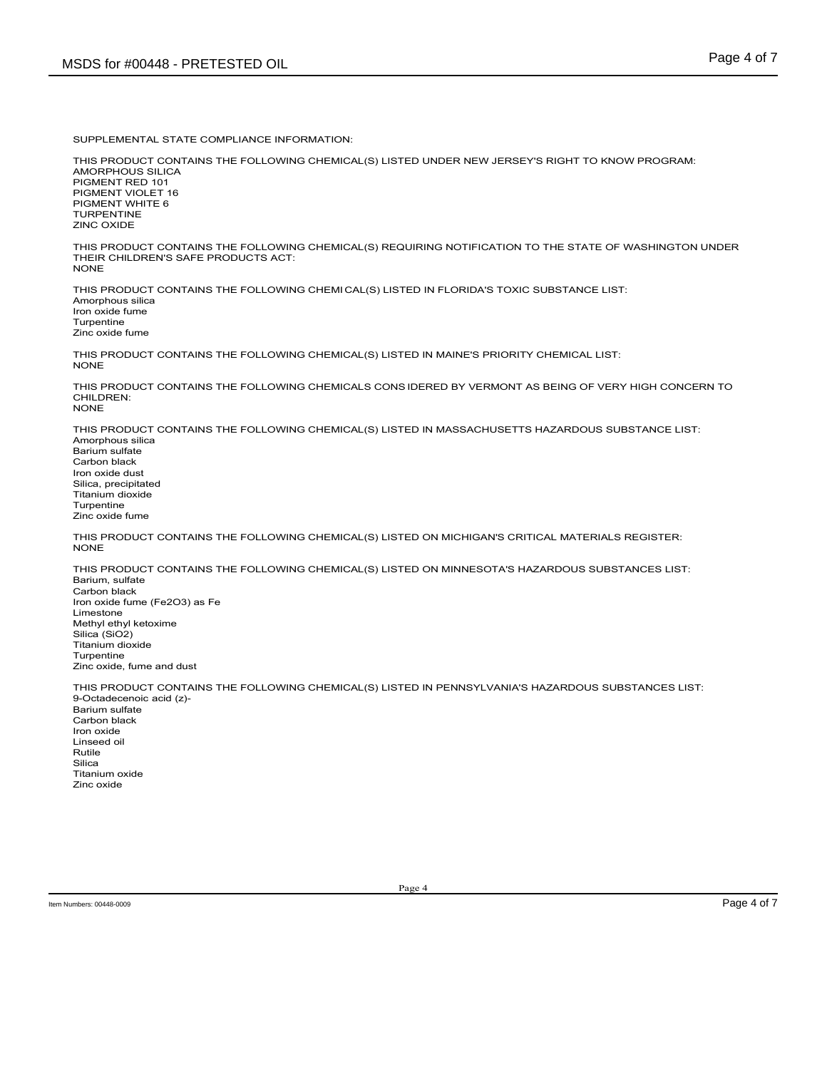SUPPLEMENTAL STATE COMPLIANCE INFORMATION:

THIS PRODUCT CONTAINS THE FOLLOWING CHEMICAL(S) LISTED UNDER NEW JERSEY'S RIGHT TO KNOW PROGRAM: AMORPHOUS SILICA PIGMENT RED 101 PIGMENT VIOLET 16 PIGMENT WHITE 6 TURPENTINE ZINC OXIDE SDS for #00448 - PRETESTED OIL<br>SUPPLEMENTAL STATE COMPLIANCE INFORMATION:<br>THIS PRODUCT CONTAINS THE FOLLOWING CHEMICAL(S) LISTED UNDER NEW JERSEY'S RIGHT TO KNOW PROGRAM:<br>PIGMENT VOLGT 10:<br>PIGMENT WORLET 16:<br>THIS PRODUCT C SDS for #00448 - PRETESTED OIL<br>supplemental state compliance information:<br>this product contains the following chemical(s) listed under new jerseys right to know program:<br>proment violet<br>product consider<br>the product contains

THIS PRODUCT CONTAINS THE FOLLOWING CHEMICAL(S) REQUIRING NOTIFICATION TO THE STATE OF WASHINGTON UNDER THEIR CHILDREN'S SAFE PRODUCTS ACT:<br>NONE NONE **NOTE** 

THIS PRODUCT CONTAINS THE FOLLOWING CHEMICAL(S) LISTED IN FLORIDA'S TOXIC SUBSTANCE LIST:<br>Amorphous silica Iron oxide fume Turpentine Zinc oxide fume

THIS PRODUCT CONTAINS THE FOLLOWING CHEMICAL(S) LISTED IN MAINE'S PRIORITY CHEMICAL LIST: NONE **NOTE** 

CHILDREN: NONE

THIS PRODUCT CONTAINS THE FOLLOWING CHEMICAL(S) LISTED IN MASSACHUSETTS HAZARDOUS SUBSTANCE LIST: Amorphous silica Barium sulfate Carbon black Iron oxide dust Silica, precipitated SO FPLEMENT/N. STATE COMPLEMING INFORMATION:<br>THIS PRODUCT CONTAINS THE FOLLOWING CHEMICAL(S) LISTED UNDER NEW JERSEY'S RIGHAMORPHOUS SILCA<br>PIGMENT VIOLET 16<br>PIGMENT RED 101<br>PIGMENT RED 101<br>THER CHILDREN'S SAFE PRODUCTS ACT Turpentine Zinc oxide fume

THIS PRODUCT CONTAINS THE FOLLOWING CHEMICAL(S) LISTED ON MICHIGAN'S CRITICAL MATERIALS REGISTER: NONE **NOTE** 

TED ON MIKHIGAN'S CRITICAL MATERIALS REGISTER:<br>TED ON MINNESOTA'S HAZARDOUS SUBSTANCES LIST:<br>TED IN PENNSYLVANIA'S HAZARDOUS SUBSTANCES LIST:<br>Page 4 THIS PRODUCT CONTAINS THE FOLLOWING CHEMICAL(S) LISTED ON MINNESOTA'S HAZARDOUS SUBSTANCES LIST: Barium, sulfate Carbon black Iron oxide fume (Fe2O3) as Fe Limestone Methyl ethyl ketoxime Silica (SiO2) Titanium dioxide **Turpentine** Zinc oxide, fume and dust THIS PRODUCT CONTAINS THE FOLLOWING CHEMICAL(S) LISTED IN PENNSYLVANIA'S HAZARDOUS SUBSTANCES LIST:<br>9-Octadecenoic acid (z)-THIS PRODUCT CONTAINS THE FOLLOWING CHEMICAL(S) LISTED IN MAINE'S PRIORITY CHEMICAL<br>NONE<br>THIS PRODUCT CONTAINS THE FOLLOWING CHEMICALS CONSIDERED BY VERMONT AS BEING OF<br>CHILDREN:<br>THIS PRODUCT CONTAINS THE FOLLOWING CHEMICA

Barium sulfate Carbon black Iron oxide Linseed oil **Rutile Rutile** Silica **Silica and Silica and Silica and Silica** and Silica and Silica and Silica and Silica and Silica and Silica Titanium oxide Zinc oxide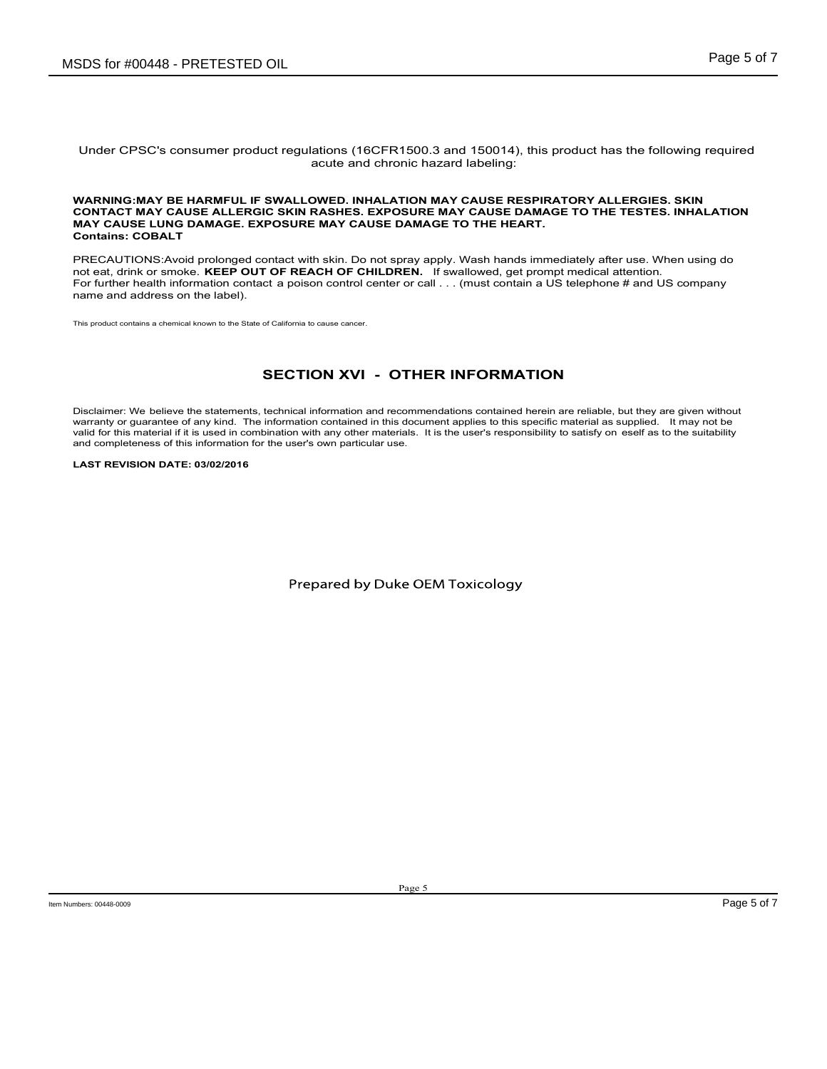Under CPSC's consumer product regulations (16CFR1500.3 and 150014), this product has the following required acute and chronic hazard labeling:

### WARNING:MAY BE HARMFUL IF SWALLOWED. INHALATION MAY CAUSE RESPIRATORY ALLERGIES. SKIN CONTACT MAY CAUSE ALLERGIC SKIN RASHES. EXPOSURE MAY CAUSE DAMAGE TO THE TESTES. INHALATION MAY CAUSE LUNG DAMAGE. EXPOSURE MAY CAUSE DAMAGE TO THE HEART. Contains: COBALT For fits for fits a poison control center in the set of CEFR is a poison of 180014), this product has the following required<br>
WARNING-MAY BE HARMEUL IF SWALLOWED. INHALATION MAY CAUSE RESPIRATORY ALLERGIES. SKIN<br>
CONTACT M Page 5 of 7<br>
Page 5 of 7<br>
Let regulations (16CFR1500.3 and 150014), this product has the following required<br>
acute and chronic hazard labeling:<br>
SWALLOWED. INHALATION MAY CAUSE RESPIRATORY ALLERGIES. SKIN<br>
IC SKIN RASHES. Page 5 of /<br>
Dinder CPSC's consumer product regulations (16CFR1500.3 and 150014), this product has the following required<br>
coute and chronic hazard labeling:<br>
WARNING-MAY BE HARMFUL IF SWALLOWED. INHALATION MAY CAUSE RESPI Under CPSC's consumer product regulations (16CFR1500.3 and 150014), this product has the following required<br>
acute and chronic hazard labeing:<br>
WARNING:MAY BE HARMFULI F SWALLOWED. INHALATION MAY CAUSE REPIRATORY ALLERGIES Under CPSC's consumer product regulations (16CFR1500.3 and 150014). this product has the following required<br>
caute and chronic hazard labeling:<br>
WARNING:MAY BE HARMFUL IF SWALLOWED. INHALATION MAY CAUSE RESPIRATORY ALLERGI Under CPSC's consumer product regulations (16CFR1500.3 and 150014), this product has the caute and chronic hazard labeling:<br>
WARNING-MAY BE HARMFUL IF SWALLOWED INHALATION MAY CAUSE RESPIRATORY ALLER<br>
CONTACT MAY BE HARMFU

PRECAUTIONS:Avoid prolonged contact with skin. Do not spray apply. Wash hands immediately after use. When using do not eat, drink or smoke. KEEP OUT OF REACH OF CHILDREN. If swallowed, get prompt medical attention. For further health information contact a poison control center or call . . . (must contain a US telephone # and US company<br>name and address on the label).

This product contains a chemical known to the State of California to cause cancer.

and completeness of this information for the user's own particular use.

e OEM Toxicology<br>Page 5<br>Page 5 of 7<br>Page 5 of 7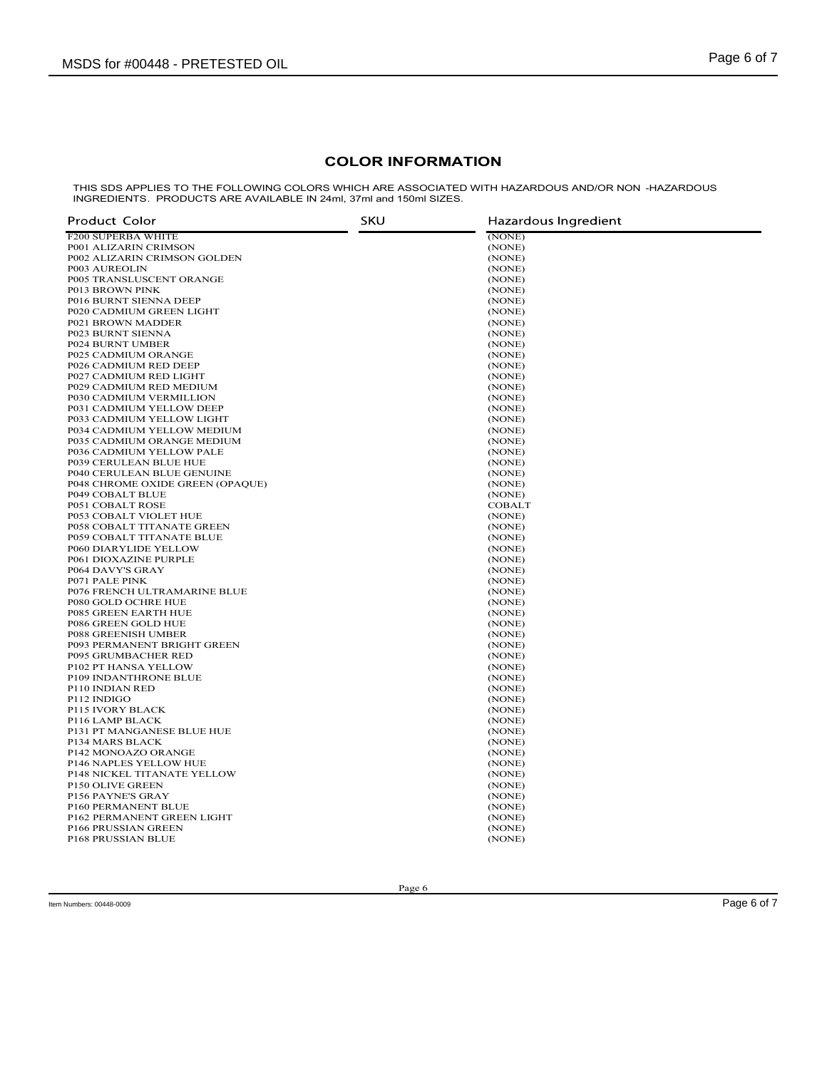### COLOR INFORMATION

|                                                                    | <b>COLOR INFORMATION</b> |                                                                                                    |  |
|--------------------------------------------------------------------|--------------------------|----------------------------------------------------------------------------------------------------|--|
| INGREDIENTS. PRODUCTS ARE AVAILABLE IN 24ml, 37ml and 150ml SIZES. |                          | THIS SDS APPLIES TO THE FOLLOWING COLORS WHICH ARE ASSOCIATED WITH HAZARDOUS AND/OR NON -HAZARDOUS |  |
| Product Color                                                      | SKU                      | Hazardous Ingredient                                                                               |  |
| F200 SUPERBA WHITE<br>P001 ALIZARIN CRIMSON                        |                          | (NONE)<br>(NONE)                                                                                   |  |
| P002 ALIZARIN CRIMSON GOLDEN                                       |                          | (NONE)                                                                                             |  |
| P003 AUREOLIN<br>P005 TRANSLUSCENT ORANGE                          |                          | (NONE)<br>(NONE)                                                                                   |  |
| P013 BROWN PINK                                                    |                          | (NONE)                                                                                             |  |
| P016 BURNT SIENNA DEEP<br>P020 CADMIUM GREEN LIGHT                 |                          | (NONE)<br>(NONE)                                                                                   |  |
| P021 BROWN MADDER                                                  |                          | (NONE)                                                                                             |  |
| P023 BURNT SIENNA<br>P024 BURNT UMBER                              |                          | (NONE)<br>(NONE)                                                                                   |  |
| P025 CADMIUM ORANGE                                                |                          | (NONE)                                                                                             |  |
| P026 CADMIUM RED DEEP<br>P027 CADMIUM RED LIGHT                    |                          | (NONE)<br>(NONE)                                                                                   |  |
| P029 CADMIUM RED MEDIUM                                            |                          | (NONE)                                                                                             |  |
| P030 CADMIUM VERMILLION<br>P031 CADMIUM YELLOW DEEP                |                          | (NONE)<br>(NONE)                                                                                   |  |
| P033 CADMIUM YELLOW LIGHT                                          |                          | (NONE)                                                                                             |  |
| P034 CADMIUM YELLOW MEDIUM<br>P035 CADMIUM ORANGE MEDIUM           |                          | (NONE)<br>(NONE)                                                                                   |  |
| P036 CADMIUM YELLOW PALE                                           |                          | (NONE)                                                                                             |  |
| P039 CERULEAN BLUE HUE<br>P040 CERULEAN BLUE GENUINE               |                          | (NONE)<br>(NONE)                                                                                   |  |
| P048 CHROME OXIDE GREEN (OPAQUE)                                   |                          | (NONE)                                                                                             |  |
| P049 COBALT BLUE                                                   |                          | (NONE)                                                                                             |  |
| P051 COBALT ROSE<br>P053 COBALT VIOLET HUE                         |                          | <b>COBALT</b><br>(NONE)                                                                            |  |
| P058 COBALT TITANATE GREEN                                         |                          | (NONE)                                                                                             |  |
| P059 COBALT TITANATE BLUE<br>P060 DIARYLIDE YELLOW                 |                          | (NONE)<br>(NONE)                                                                                   |  |
| P061 DIOXAZINE PURPLE                                              |                          | (NONE)                                                                                             |  |
| P064 DAVY'S GRAY<br>P071 PALE PINK                                 |                          | (NONE)<br>(NONE)                                                                                   |  |
| P076 FRENCH ULTRAMARINE BLUE                                       |                          | (NONE)                                                                                             |  |
| P080 GOLD OCHRE HUE<br>P085 GREEN EARTH HUE                        |                          | (NONE)<br>(NONE)                                                                                   |  |
| P086 GREEN GOLD HUE                                                |                          | (NONE)                                                                                             |  |
| P088 GREENISH UMBER<br>P093 PERMANENT BRIGHT GREEN                 |                          | (NONE)<br>(NONE)                                                                                   |  |
| P095 GRUMBACHER RED                                                |                          | (NONE)                                                                                             |  |
| P102 PT HANSA YELLOW                                               |                          | (NONE)                                                                                             |  |
| P109 INDANTHRONE BLUE<br>P110 INDIAN RED                           |                          | (NONE)<br>(NONE)                                                                                   |  |
| P112 INDIGO                                                        |                          | (NONE)                                                                                             |  |
| P115 IVORY BLACK<br>P116 LAMP BLACK                                |                          | (NONE)<br>(NONE)                                                                                   |  |
| P131 PT MANGANESE BLUE HUE                                         |                          | (NONE)                                                                                             |  |
| P134 MARS BLACK<br>P142 MONOAZO ORANGE                             |                          | (NONE)<br>(NONE)                                                                                   |  |
| P146 NAPLES YELLOW HUE                                             |                          | (NONE)                                                                                             |  |
| P148 NICKEL TITANATE YELLOW<br>P150 OLIVE GREEN                    |                          | (NONE)<br>(NONE)                                                                                   |  |
| P156 PAYNE'S GRAY                                                  |                          | (NONE)                                                                                             |  |
| P160 PERMANENT BLUE                                                |                          | (NONE)                                                                                             |  |
| P162 PERMANENT GREEN LIGHT<br>P166 PRUSSIAN GREEN                  |                          | (NONE)<br>(NONE)                                                                                   |  |
| P168 PRUSSIAN BLUE                                                 |                          | (NONE)                                                                                             |  |
|                                                                    |                          |                                                                                                    |  |
|                                                                    | Page 6                   |                                                                                                    |  |